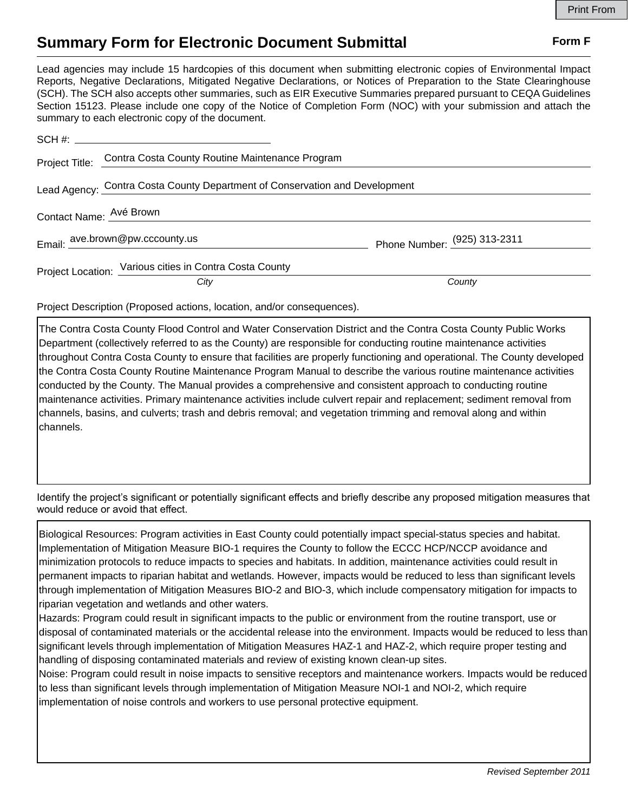## **Summary Form for Electronic Document Submittal Form F Form F**

Lead agencies may include 15 hardcopies of this document when submitting electronic copies of Environmental Impact Reports, Negative Declarations, Mitigated Negative Declarations, or Notices of Preparation to the State Clearinghouse (SCH). The SCH also accepts other summaries, such as EIR Executive Summaries prepared pursuant to CEQA Guidelines Section 15123. Please include one copy of the Notice of Completion Form (NOC) with your submission and attach the summary to each electronic copy of the document.

|                                                                             | Project Title: Contra Costa County Routine Maintenance Program |                              |
|-----------------------------------------------------------------------------|----------------------------------------------------------------|------------------------------|
| Lead Agency: Contra Costa County Department of Conservation and Development |                                                                |                              |
| Contact Name: Avé Brown                                                     |                                                                |                              |
|                                                                             | Email: ave.brown@pw.cccounty.us                                | Phone Number: (925) 313-2311 |
|                                                                             | Project Location: Various cities in Contra Costa County        |                              |
|                                                                             | City                                                           | County                       |

Project Description (Proposed actions, location, and/or consequences).

The Contra Costa County Flood Control and Water Conservation District and the Contra Costa County Public Works Department (collectively referred to as the County) are responsible for conducting routine maintenance activities throughout Contra Costa County to ensure that facilities are properly functioning and operational. The County developed the Contra Costa County Routine Maintenance Program Manual to describe the various routine maintenance activities conducted by the County. The Manual provides a comprehensive and consistent approach to conducting routine maintenance activities. Primary maintenance activities include culvert repair and replacement; sediment removal from channels, basins, and culverts; trash and debris removal; and vegetation trimming and removal along and within channels.

Identify the project's significant or potentially significant effects and briefly describe any proposed mitigation measures that would reduce or avoid that effect.

Biological Resources: Program activities in East County could potentially impact special-status species and habitat. Implementation of Mitigation Measure BIO-1 requires the County to follow the ECCC HCP/NCCP avoidance and minimization protocols to reduce impacts to species and habitats. In addition, maintenance activities could result in permanent impacts to riparian habitat and wetlands. However, impacts would be reduced to less than significant levels through implementation of Mitigation Measures BIO-2 and BIO-3, which include compensatory mitigation for impacts to riparian vegetation and wetlands and other waters.

Hazards: Program could result in significant impacts to the public or environment from the routine transport, use or disposal of contaminated materials or the accidental release into the environment. Impacts would be reduced to less than significant levels through implementation of Mitigation Measures HAZ-1 and HAZ-2, which require proper testing and handling of disposing contaminated materials and review of existing known clean-up sites.

Noise: Program could result in noise impacts to sensitive receptors and maintenance workers. Impacts would be reduced to less than significant levels through implementation of Mitigation Measure NOI-1 and NOI-2, which require implementation of noise controls and workers to use personal protective equipment.